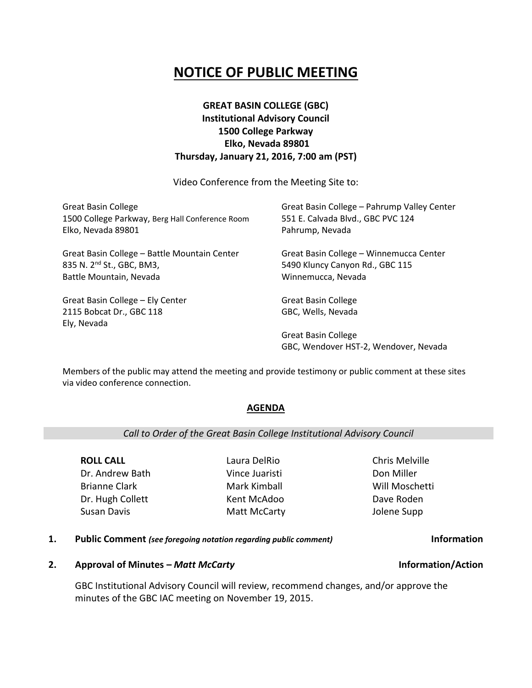# **NOTICE OF PUBLIC MEETING**

## **GREAT BASIN COLLEGE (GBC) Institutional Advisory Council 1500 College Parkway Elko, Nevada 89801 Thursday, January 21, 2016, 7:00 am (PST)**

Video Conference from the Meeting Site to:

| <b>Great Basin College</b><br>1500 College Parkway, Berg Hall Conference Room<br>Elko, Nevada 89801 | Great Basin College - Pahrump Valley Center<br>551 E. Calvada Blvd., GBC PVC 124<br>Pahrump, Nevada |
|-----------------------------------------------------------------------------------------------------|-----------------------------------------------------------------------------------------------------|
| Great Basin College - Battle Mountain Center<br>835 N. 2 <sup>nd</sup> St., GBC, BM3,               | Great Basin College - Winnemucca Center<br>5490 Kluncy Canyon Rd., GBC 115                          |
| Battle Mountain, Nevada                                                                             | Winnemucca, Nevada                                                                                  |
| Great Basin College - Ely Center                                                                    | <b>Great Basin College</b>                                                                          |
| 2115 Bobcat Dr., GBC 118<br>Ely, Nevada                                                             | GBC, Wells, Nevada                                                                                  |
|                                                                                                     | <b>Great Basin College</b><br>GBC, Wendover HST-2, Wendover, Nevada                                 |

Members of the public may attend the meeting and provide testimony or public comment at these sites via video conference connection.

## **AGENDA**

### *Call to Order of the Great Basin College Institutional Advisory Council*

**ROLL CALL** Dr. Andrew Bath Brianne Clark Dr. Hugh Collett Susan Davis

Laura DelRio Vince Juaristi Mark Kimball Kent McAdoo Matt McCarty Chris Melville Don Miller Will Moschetti Dave Roden Jolene Supp

#### **1. Public Comment** *(see foregoing notation regarding public comment)* **Information**

### **2. Approval of Minutes –** *Matt McCarty* **Information/Action**

GBC Institutional Advisory Council will review, recommend changes, and/or approve the minutes of the GBC IAC meeting on November 19, 2015.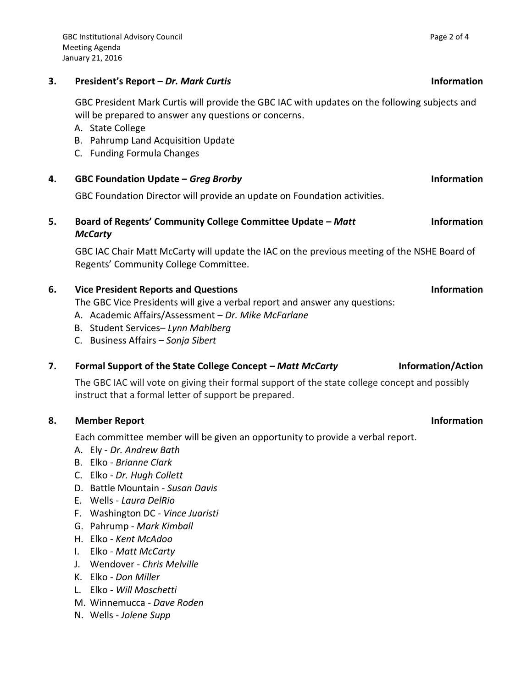## **3. President's Report –** *Dr. Mark Curtis* **Information**

GBC President Mark Curtis will provide the GBC IAC with updates on the following subjects and will be prepared to answer any questions or concerns.

- A. State College
- B. Pahrump Land Acquisition Update
- C. Funding Formula Changes

GBC Foundation Director will provide an update on Foundation activities.

#### **5. Board of Regents' Community College Committee Update –** *Matt McCarty* **Information**

GBC IAC Chair Matt McCarty will update the IAC on the previous meeting of the NSHE Board of Regents' Community College Committee.

## **6. Vice President Reports and Questions Information**

The GBC Vice Presidents will give a verbal report and answer any questions:

- A. Academic Affairs/Assessment *Dr. Mike McFarlane*
- B. Student Services– *Lynn Mahlberg*
- C. Business Affairs *Sonja Sibert*

## **7. Formal Support of the State College Concept – Matt McCarty <b>Information/Action**

The GBC IAC will vote on giving their formal support of the state college concept and possibly instruct that a formal letter of support be prepared.

## **8. Member Report Information**

Each committee member will be given an opportunity to provide a verbal report.

- A. Ely *Dr. Andrew Bath*
- B. Elko *Brianne Clark*
- C. Elko *Dr. Hugh Collett*
- D. Battle Mountain *Susan Davis*
- E. Wells *Laura DelRio*
- F. Washington DC *Vince Juaristi*
- G. Pahrump *Mark Kimball*
- H. Elko *Kent McAdoo*
- I. Elko *Matt McCarty*
- J. Wendover *Chris Melville*
- K. Elko *Don Miller*
- L. Elko *Will Moschetti*
- M. Winnemucca *Dave Roden*
- N. Wells *Jolene Supp*

## **4. GBC Foundation Update –** *Greg Brorby* **Information**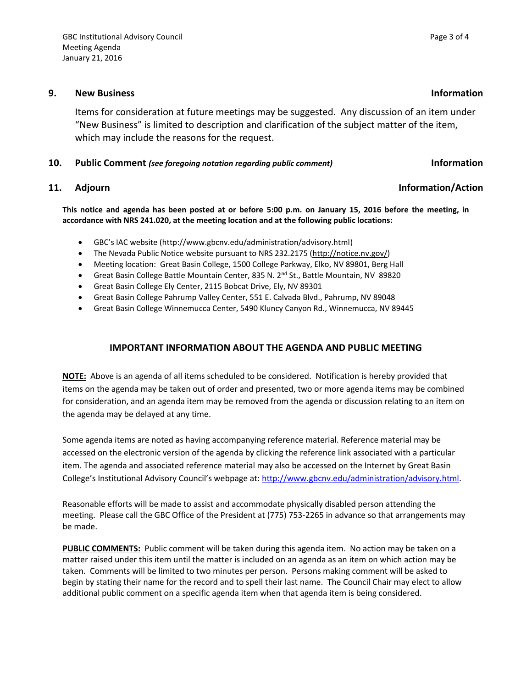#### **9. New Business Information**

Items for consideration at future meetings may be suggested. Any discussion of an item under "New Business" is limited to description and clarification of the subject matter of the item, which may include the reasons for the request.

### **10. Public Comment** *(see foregoing notation regarding public comment)* **Information**

#### **11.** Adjourn **Information Information Information Information Information Information**

**This notice and agenda has been posted at or before 5:00 p.m. on January 15, 2016 before the meeting, in accordance with NRS 241.020, at the meeting location and at the following public locations:**

- GBC's IAC website (http://www.gbcnv.edu/administration/advisory.html)
- The Nevada Public Notice website pursuant to NRS 232.2175 [\(http://notice.nv.gov/\)](http://notice.nv.gov/)
- Meeting location: Great Basin College, 1500 College Parkway, Elko, NV 89801, Berg Hall
- Great Basin College Battle Mountain Center, 835 N. 2<sup>nd</sup> St., Battle Mountain, NV 89820
- Great Basin College Ely Center, 2115 Bobcat Drive, Ely, NV 89301
- Great Basin College Pahrump Valley Center, 551 E. Calvada Blvd., Pahrump, NV 89048
- Great Basin College Winnemucca Center, 5490 Kluncy Canyon Rd., Winnemucca, NV 89445

## **IMPORTANT INFORMATION ABOUT THE AGENDA AND PUBLIC MEETING**

**NOTE:** Above is an agenda of all items scheduled to be considered. Notification is hereby provided that items on the agenda may be taken out of order and presented, two or more agenda items may be combined for consideration, and an agenda item may be removed from the agenda or discussion relating to an item on the agenda may be delayed at any time.

Some agenda items are noted as having accompanying reference material. Reference material may be accessed on the electronic version of the agenda by clicking the reference link associated with a particular item. The agenda and associated reference material may also be accessed on the Internet by Great Basin College's Institutional Advisory Council's webpage at: [http://www.gbcnv.edu/administration/advisory.html.](http://www.gbcnv.edu/administration/advisory.html)

Reasonable efforts will be made to assist and accommodate physically disabled person attending the meeting. Please call the GBC Office of the President at (775) 753-2265 in advance so that arrangements may be made.

**PUBLIC COMMENTS:** Public comment will be taken during this agenda item. No action may be taken on a matter raised under this item until the matter is included on an agenda as an item on which action may be taken. Comments will be limited to two minutes per person. Persons making comment will be asked to begin by stating their name for the record and to spell their last name. The Council Chair may elect to allow additional public comment on a specific agenda item when that agenda item is being considered.